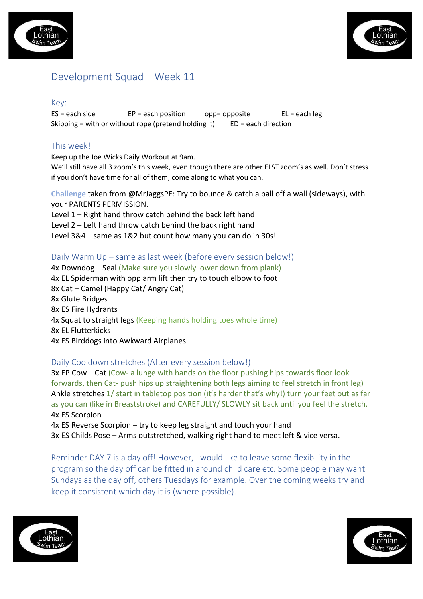



# Development Squad – Week 11

#### Key:

 $ES = each side$   $EP = each position$  opp= opposite  $EL = each \, leg$ Skipping = with or without rope (pretend holding it)  $ED = each direction$ 

## This week!

Keep up the Joe Wicks Daily Workout at 9am.

We'll still have all 3 zoom's this week, even though there are other ELST zoom's as well. Don't stress if you don't have time for all of them, come along to what you can.

**Challenge** taken from @MrJaggsPE: Try to bounce & catch a ball off a wall (sideways), with your PARENTS PERMISSION.

Level 1 – Right hand throw catch behind the back left hand Level 2 – Left hand throw catch behind the back right hand Level 3&4 – same as 1&2 but count how many you can do in 30s!

### Daily Warm Up – same as last week (before every session below!)

4x Downdog – Seal (Make sure you slowly lower down from plank) 4x EL Spiderman with opp arm lift then try to touch elbow to foot 8x Cat – Camel (Happy Cat/ Angry Cat) 8x Glute Bridges 8x ES Fire Hydrants 4x Squat to straight legs (Keeping hands holding toes whole time) 8x EL Flutterkicks 4x ES Birddogs into Awkward Airplanes

## Daily Cooldown stretches (After every session below!)

3x EP Cow – Cat (Cow- a lunge with hands on the floor pushing hips towards floor look forwards, then Cat- push hips up straightening both legs aiming to feel stretch in front leg) Ankle stretches 1/ start in tabletop position (it's harder that's why!) turn your feet out as far as you can (like in Breaststroke) and CAREFULLY/ SLOWLY sit back until you feel the stretch. 4x ES Scorpion

4x ES Reverse Scorpion – try to keep leg straight and touch your hand 3x ES Childs Pose – Arms outstretched, walking right hand to meet left & vice versa.

Reminder DAY 7 is a day off! However, I would like to leave some flexibility in the program so the day off can be fitted in around child care etc. Some people may want Sundays as the day off, others Tuesdays for example. Over the coming weeks try and keep it consistent which day it is (where possible).



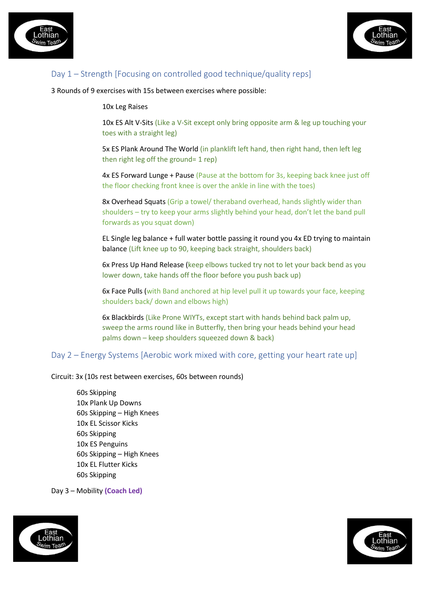



# Day 1 – Strength [Focusing on controlled good technique/quality reps]

3 Rounds of 9 exercises with 15s between exercises where possible:

#### 10x Leg Raises

10x ES Alt V-Sits (Like a V-Sit except only bring opposite arm & leg up touching your toes with a straight leg)

5x ES Plank Around The World (in planklift left hand, then right hand, then left leg then right leg off the ground= 1 rep)

4x ES Forward Lunge + Pause (Pause at the bottom for 3s, keeping back knee just off the floor checking front knee is over the ankle in line with the toes)

8x Overhead Squats (Grip a towel/ theraband overhead, hands slightly wider than shoulders – try to keep your arms slightly behind your head, don't let the band pull forwards as you squat down)

EL Single leg balance + full water bottle passing it round you 4x ED trying to maintain balance (Lift knee up to 90, keeping back straight, shoulders back)

6x Press Up Hand Release (keep elbows tucked try not to let your back bend as you lower down, take hands off the floor before you push back up)

6x Face Pulls (with Band anchored at hip level pull it up towards your face, keeping shoulders back/ down and elbows high)

6x Blackbirds (Like Prone WIYTs, except start with hands behind back palm up, sweep the arms round like in Butterfly, then bring your heads behind your head palms down – keep shoulders squeezed down & back)

Day 2 – Energy Systems [Aerobic work mixed with core, getting your heart rate up]

Circuit: 3x (10s rest between exercises, 60s between rounds)

60s Skipping 10x Plank Up Downs 60s Skipping – High Knees 10x EL Scissor Kicks 60s Skipping 10x ES Penguins 60s Skipping – High Knees 10x EL Flutter Kicks 60s Skipping

Day 3 – Mobility **(Coach Led)**